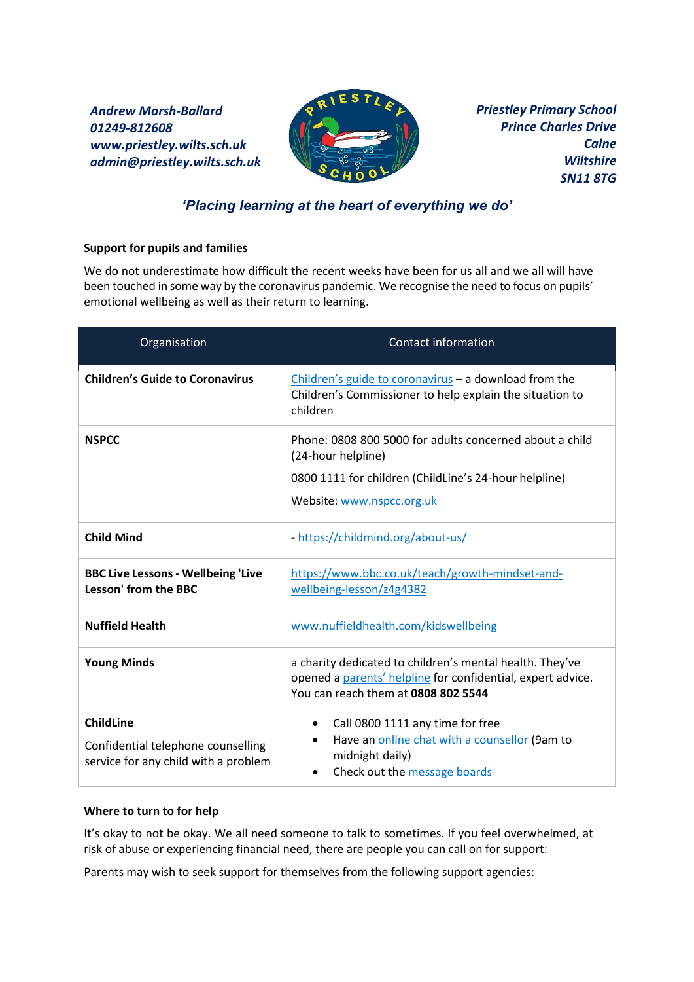*Andrew Marsh-Ballard 01249-812608 www.priestley.wilts.sch.uk admin@priestley.wilts.sch.uk* 



*Priestley Primary School Prince Charles Drive Calne Wiltshire SN11 8TG*

## *'Placing learning at the heart of everything we do'*

## **Support for pupils and families**

We do not underestimate how difficult the recent weeks have been for us all and we all will have been touched in some way by the coronavirus pandemic. We recognise the need to focus on pupils' emotional wellbeing as well as their return to learning.

| Organisation                                                                                   | <b>Contact information</b>                                                                                                                                     |
|------------------------------------------------------------------------------------------------|----------------------------------------------------------------------------------------------------------------------------------------------------------------|
| <b>Children's Guide to Coronavirus</b>                                                         | Children's guide to coronavirus - a download from the<br>Children's Commissioner to help explain the situation to<br>children                                  |
| <b>NSPCC</b>                                                                                   | Phone: 0808 800 5000 for adults concerned about a child<br>(24-hour helpline)                                                                                  |
|                                                                                                | 0800 1111 for children (ChildLine's 24-hour helpline)                                                                                                          |
|                                                                                                | Website: www.nspcc.org.uk                                                                                                                                      |
| <b>Child Mind</b>                                                                              | - https://childmind.org/about-us/                                                                                                                              |
| <b>BBC Live Lessons - Wellbeing 'Live</b><br><b>Lesson' from the BBC</b>                       | https://www.bbc.co.uk/teach/growth-mindset-and-<br>wellbeing-lesson/z4g4382                                                                                    |
| <b>Nuffield Health</b>                                                                         | www.nuffieldhealth.com/kidswellbeing                                                                                                                           |
| <b>Young Minds</b>                                                                             | a charity dedicated to children's mental health. They've<br>opened a parents' helpline for confidential, expert advice.<br>You can reach them at 0808 802 5544 |
| <b>ChildLine</b><br>Confidential telephone counselling<br>service for any child with a problem | Call 0800 1111 any time for free<br>$\bullet$<br>Have an online chat with a counsellor (9am to<br>midnight daily)<br>Check out the message boards              |

## **Where to turn to for help**

It's okay to not be okay. We all need someone to talk to sometimes. If you feel overwhelmed, at risk of abuse or experiencing financial need, there are people you can call on for support:

Parents may wish to seek support for themselves from the following support agencies: